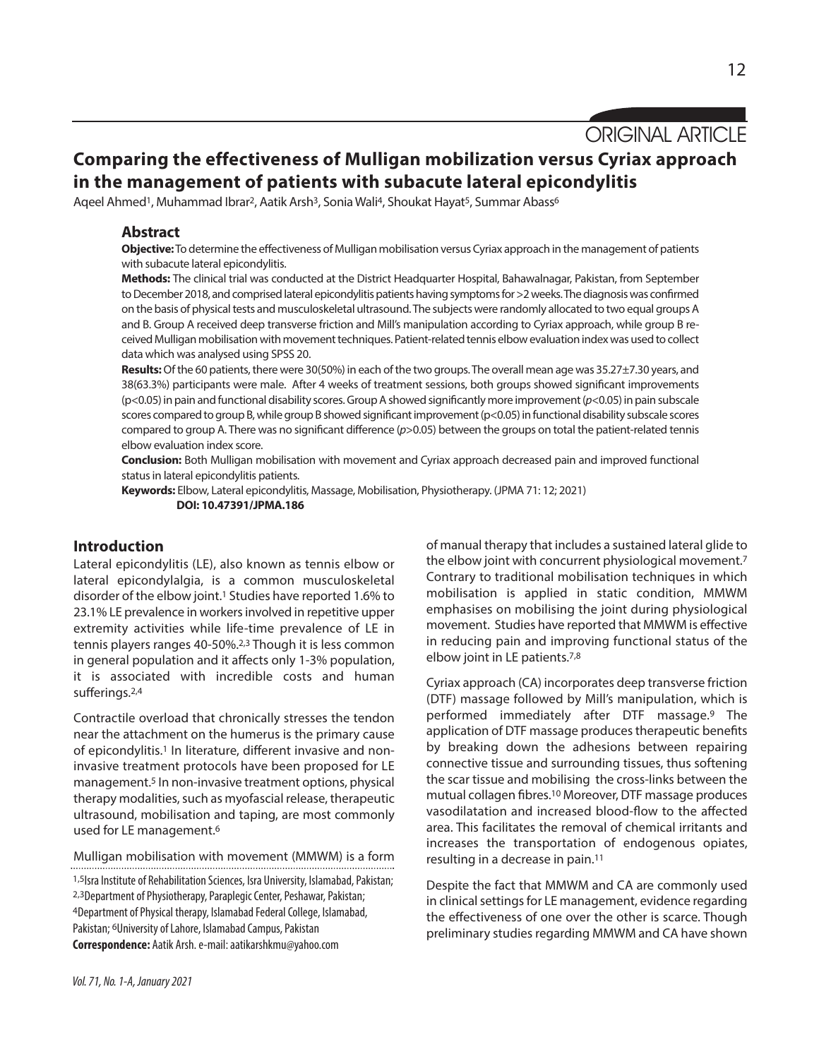ORIGINAL ARTICLE

# **Comparing the effectiveness of Mulligan mobilization versus Cyriax approach in the management of patients with subacute lateral epicondylitis**

Aqeel Ahmed<sup>1</sup>, Muhammad Ibrar<sup>2</sup>, Aatik Arsh<sup>3</sup>, Sonia Wali<sup>4</sup>, Shoukat Hayat<sup>5</sup>, Summar Abass<sup>6</sup>

## **Abstract**

**Objective:**To determine the effectiveness of Mulligan mobilisation versus Cyriax approach in the management of patients with subacute lateral epicondylitis.

**Methods:** The clinical trial was conducted at the District Headquarter Hospital, Bahawalnagar, Pakistan, from September to December 2018, and comprised lateral epicondylitis patients having symptoms for >2 weeks. The diagnosis was confirmed on the basis of physical tests and musculoskeletal ultrasound. The subjects were randomly allocated to two equal groups A and B. Group A received deep transverse friction and Mill's manipulation according to Cyriax approach, while group B received Mulligan mobilisation with movement techniques. Patient-related tennis elbow evaluation index was used to collect data which was analysed using SPSS 20.

**Results:** Of the 60 patients, there were 30(50%) in each of the two groups. The overall mean age was 35.27±7.30 years, and 38(63.3%) participants were male. After 4 weeks of treatment sessions, both groups showed significant improvements (p<0.05)inpain andfunctionaldisability scores.GroupAshowedsignificantly more improvement(*p*<0.05)inpain subscale scores compared to group B, while group B showed significant improvement (p<0.05) in functional disability subscale scores compared to group A. There was no significant difference (*p*>0.05) between the groups on total the patient-related tennis elbow evaluation index score.

**Conclusion:** Both Mulligan mobilisation with movement and Cyriax approach decreased pain and improved functional status in lateral epicondylitis patients.

**Keywords:** Elbow, Lateral epicondylitis, Massage, Mobilisation, Physiotherapy. (JPMA 71: 12; 2021) **DOI: 10.47391/JPMA.186**

## **Introduction**

Lateral epicondylitis (LE), also known as tennis elbow or lateral epicondylalgia, is a common musculoskeletal disorder of the elbow joint. <sup>1</sup> Studies have reported 1.6% to 23.1% LE prevalence in workersinvolved in repetitive upper extremity activities while life-time prevalence of LE in tennis players ranges 40-50%. 2,3 Though it is less common in general population and it affects only 1-3% population, it is associated with incredible costs and human sufferings. 2,4

Contractile overload that chronically stresses the tendon near the attachment on the humerus is the primary cause of epicondylitis.<sup>1</sup> In literature, different invasive and noninvasive treatment protocols have been proposed for LE management. <sup>5</sup> In non-invasive treatment options, physical therapy modalities, such as myofascial release, therapeutic ultrasound, mobilisation and taping, are most commonly used for LE management. 6

Mulligan mobilisation with movement (MMWM) is a form

1,5Isra Institute of Rehabilitation Sciences, Isra University, Islamabad, Pakistan; 2,3Department of Physiotherapy, Paraplegic Center, Peshawar, Pakistan; 4Department of Physical therapy, Islamabad Federal College, Islamabad, Pakistan; <sup>6</sup>University of Lahore, Islamabad Campus, Pakistan **Correspondence:** Aatik Arsh. e-mail: aatikarshkmu@yahoo.com

of manual therapy that includes a sustained lateral glide to the elbow joint with concurrent physiological movement. 7 Contrary to traditional mobilisation techniques in which mobilisation is applied in static condition, MMWM emphasises on mobilising the joint during physiological movement. Studies have reported that MMWM is effective in reducing pain and improving functional status of the elbow joint in LE patients.<sup>7,8</sup>

Cyriax approach (CA) incorporates deep transverse friction (DTF) massage followed by Mill's manipulation, which is performed immediately after DTF massage.9 The application of DTF massage produces therapeutic benefits by breaking down the adhesions between repairing connective tissue and surrounding tissues, thus softening the scar tissue and mobilising the cross-links between the mutual collagen fibres. <sup>10</sup> Moreover, DTF massage produces vasodilatation and increased blood-flow to the affected area. This facilitates the removal of chemical irritants and increases the transportation of endogenous opiates, resulting in a decrease in pain. 11

Despite the fact that MMWM and CA are commonly used in clinical settings for LE management, evidence regarding the effectiveness of one over the other is scarce. Though preliminary studies regarding MMWM and CA have shown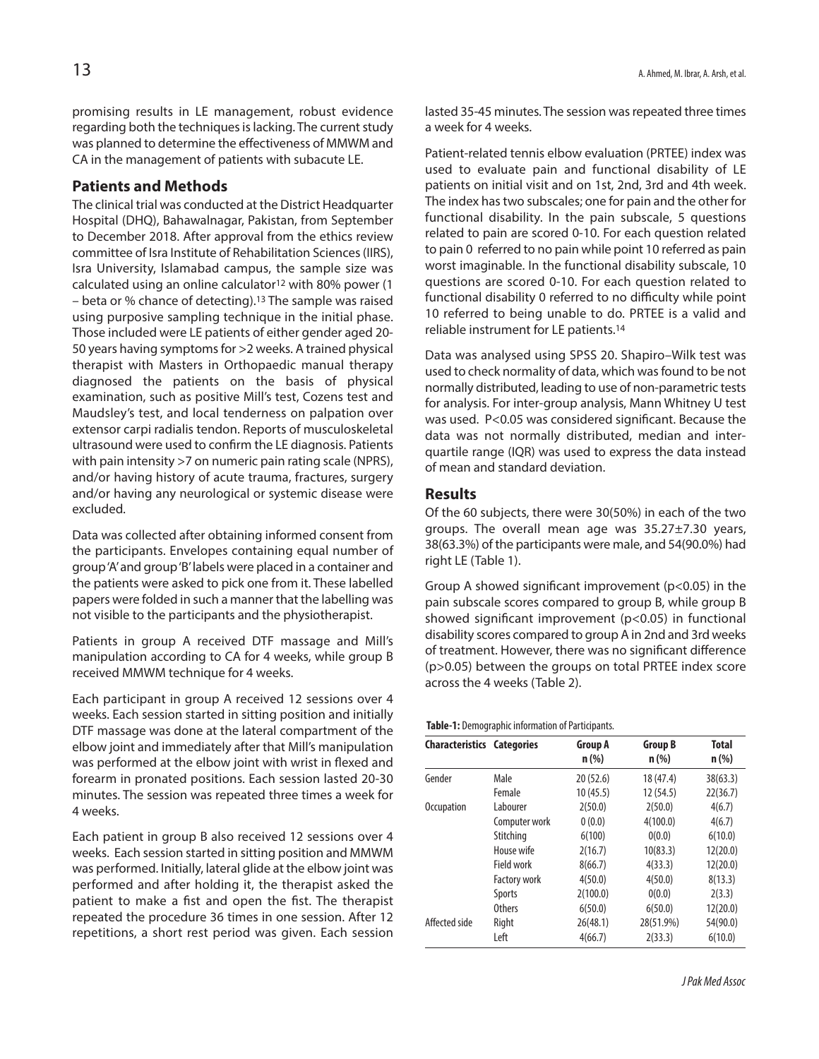promising results in LE management, robust evidence regarding both the techniques is lacking. The current study was planned to determine the effectiveness of MMWM and CA in the management of patients with subacute LE.

## **Patients and Methods**

The clinical trial was conducted at the District Headquarter Hospital (DHQ), Bahawalnagar, Pakistan, from September to December 2018. After approval from the ethics review committee of Isra Institute of Rehabilitation Sciences(IIRS), Isra University, Islamabad campus, the sample size was calculated using an online calculator12 with 80% power (1 – beta or % chance of detecting). 13 The sample was raised using purposive sampling technique in the initial phase. Those included were LE patients of either gender aged 20- 50 years having symptoms for >2 weeks. A trained physical therapist with Masters in Orthopaedic manual therapy diagnosed the patients on the basis of physical examination, such as positive Mill's test, Cozens test and Maudsley's test, and local tenderness on palpation over extensor carpi radialis tendon. Reports of musculoskeletal ultrasound were used to confirm the LE diagnosis. Patients with pain intensity >7 on numeric pain rating scale (NPRS), and/or having history of acute trauma, fractures, surgery and/or having any neurological or systemic disease were excluded.

Data was collected after obtaining informed consent from the participants. Envelopes containing equal number of group'A'and group'B'labels were placed in a container and the patients were asked to pick one from it. These labelled papers were folded in such a manner that the labelling was not visible to the participants and the physiotherapist.

Patients in group A received DTF massage and Mill's manipulation according to CA for 4 weeks, while group B received MMWM technique for 4 weeks.

Each participant in group A received 12 sessions over 4 weeks. Each session started in sitting position and initially DTF massage was done at the lateral compartment of the elbow joint and immediately after that Mill's manipulation was performed at the elbow joint with wrist in flexed and forearm in pronated positions. Each session lasted 20-30 minutes. The session was repeated three times a week for 4 weeks.

Each patient in group B also received 12 sessions over 4 weeks. Each session started in sitting position and MMWM was performed. Initially, lateral glide at the elbow joint was performed and after holding it, the therapist asked the patient to make a fist and open the fist. The therapist repeated the procedure 36 times in one session. After 12 repetitions, a short rest period was given. Each session lasted 35-45 minutes. The session was repeated three times a week for 4 weeks.

Patient-related tennis elbow evaluation (PRTEE) index was used to evaluate pain and functional disability of LE patients on initial visit and on 1st, 2nd, 3rd and 4th week. The index hastwo subscales; one for pain and the other for functional disability. In the pain subscale, 5 questions related to pain are scored 0-10. For each question related to pain 0 referred to no pain while point 10 referred as pain worst imaginable. In the functional disability subscale, 10 questions are scored 0-10. For each question related to functional disability 0 referred to no difficulty while point 10 referred to being unable to do. PRTEE is a valid and reliable instrument for LE patients. 14

Data was analysed using SPSS 20. Shapiro–Wilk test was used to check normality of data, which wasfound to be not normally distributed, leading to use of non-parametric tests for analysis. For inter-group analysis, Mann Whitney U test was used. P<0.05 was considered significant. Because the data was not normally distributed, median and interquartile range (IQR) was used to express the data instead of mean and standard deviation.

#### **Results**

Of the 60 subjects, there were 30(50%) in each of the two groups. The overall mean age was 35.27±7.30 years, 38(63.3%) of the participants were male, and 54(90.0%) had right LE (Table 1).

Group A showed significant improvement (p<0.05) in the pain subscale scores compared to group B, while group B showed significant improvement (p<0.05) in functional disability scores compared to group A in 2nd and 3rd weeks of treatment. However, there was no significant difference (p>0.05) between the groups on total PRTEE index score across the 4 weeks (Table 2).

#### Table-1: Demographic information of Participants.

| <b>Characteristics Categories</b> |                     | <b>Group A</b><br>$n$ (%) | <b>Group B</b><br>$n$ (%) | <b>Total</b><br>$n$ (%) |
|-----------------------------------|---------------------|---------------------------|---------------------------|-------------------------|
| Gender                            | Male                | 20(52.6)                  | 18 (47.4)                 | 38(63.3)                |
|                                   | Female              | 10(45.5)                  | 12 (54.5)                 | 22(36.7)                |
| <b>Occupation</b>                 | Labourer            | 2(50.0)                   | 2(50.0)                   | 4(6.7)                  |
|                                   | Computer work       | 0(0.0)                    | 4(100.0)                  | 4(6.7)                  |
|                                   | Stitching           | 6(100)                    | 0(0.0)                    | 6(10.0)                 |
|                                   | House wife          | 2(16.7)                   | 10(83.3)                  | 12(20.0)                |
|                                   | Field work          | 8(66.7)                   | 4(33.3)                   | 12(20.0)                |
|                                   | <b>Factory work</b> | 4(50.0)                   | 4(50.0)                   | 8(13.3)                 |
|                                   | <b>Sports</b>       | 2(100.0)                  | 0(0.0)                    | 2(3.3)                  |
|                                   | <b>Others</b>       | 6(50.0)                   | 6(50.0)                   | 12(20.0)                |
| Affected side                     | Right               | 26(48.1)                  | 28(51.9%)                 | 54(90.0)                |
|                                   | Left                | 4(66.7)                   | 2(33.3)                   | 6(10.0)                 |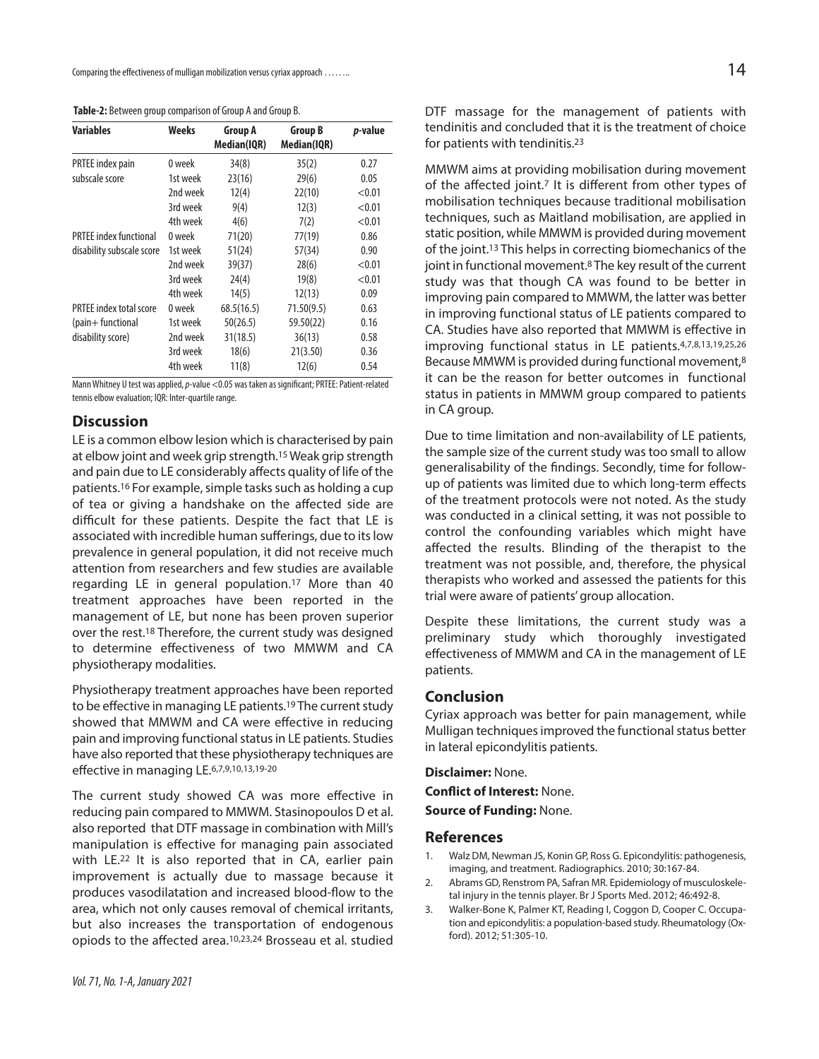| <b>Variables</b>               | Weeks    | <b>Group A</b><br>Median(IQR) | <b>Group B</b><br>Median(IQR) | p-value |
|--------------------------------|----------|-------------------------------|-------------------------------|---------|
| PRTEE index pain               | 0 week   | 34(8)                         | 35(2)                         | 0.27    |
| subscale score                 | 1st week | 23(16)                        | 29(6)                         | 0.05    |
|                                | 2nd week | 12(4)                         | 22(10)                        | < 0.01  |
|                                | 3rd week | 9(4)                          | 12(3)                         | < 0.01  |
|                                | 4th week | 4(6)                          | 7(2)                          | < 0.01  |
| <b>PRTEE</b> index functional  | 0 week   | 71(20)                        | 77(19)                        | 0.86    |
| disability subscale score      | 1st week | 51(24)                        | 57(34)                        | 0.90    |
|                                | 2nd week | 39(37)                        | 28(6)                         | < 0.01  |
|                                | 3rd week | 24(4)                         | 19(8)                         | < 0.01  |
|                                | 4th week | 14(5)                         | 12(13)                        | 0.09    |
| <b>PRTEE index total score</b> | 0 week   | 68.5(16.5)                    | 71.50(9.5)                    | 0.63    |
| (pain+functional               | 1st week | 50(26.5)                      | 59.50(22)                     | 0.16    |
| disability score)              | 2nd week | 31(18.5)                      | 36(13)                        | 0.58    |
|                                | 3rd week | 18(6)                         | 21(3.50)                      | 0.36    |
|                                | 4th week | 11(8)                         | 12(6)                         | 0.54    |

Table-2: Between group comparison of Group A and Group B.

Mann Whitney U test was applied, p-value <0.05 was taken as significant; PRTEE: Patient-related tennis elbow evaluation; IQR: Inter-quartile range.

## **Discussion**

LE is a common elbow lesion which is characterised by pain at elbow joint and week grip strength. 15Weak grip strength and pain due to LE considerably affects quality of life of the patients.<sup>16</sup> For example, simple tasks such as holding a cup of tea or giving a handshake on the affected side are difficult for these patients. Despite the fact that LE is associated with incredible human sufferings, due to its low prevalence in general population, it did not receive much attention from researchers and few studies are available regarding LE in general population.17 More than 40 treatment approaches have been reported in the management of LE, but none has been proven superior over the rest. <sup>18</sup> Therefore, the current study was designed to determine effectiveness of two MMWM and CA physiotherapy modalities.

Physiotherapy treatment approaches have been reported to be effective in managing LE patients.<sup>19</sup> The current study showed that MMWM and CA were effective in reducing pain and improving functional status in LE patients. Studies have also reported that these physiotherapy techniques are effective in managing LE. 6,7,9,10,13,19-20

The current study showed CA was more effective in reducing pain compared to MMWM. Stasinopoulos D et al. also reported that DTF massage in combination with Mill's manipulation is effective for managing pain associated with LE.22 It is also reported that in CA, earlier pain improvement is actually due to massage because it produces vasodilatation and increased blood-flow to the area, which not only causes removal of chemical irritants, but also increases the transportation of endogenous opiods to the affected area.10,23,24 Brosseau et al. studied

DTF massage for the management of patients with tendinitis and concluded that it is the treatment of choice for patients with tendinitis. 23

MMWM aims at providing mobilisation during movement of the affected joint.7 It is different from other types of mobilisation techniques because traditional mobilisation techniques, such as Maitland mobilisation, are applied in static position, while MMWM is provided during movement of the joint. <sup>13</sup> This helps in correcting biomechanics of the joint in functional movement. <sup>8</sup> The key result of the current study was that though CA was found to be better in improving pain compared to MMWM, the latter was better in improving functional status of LE patients compared to CA. Studies have also reported that MMWM is effective in improving functional status in LE patients.4,7,8,13,19,25,26 Because MMWM is provided during functional movement, 8 it can be the reason for better outcomes in functional status in patients in MMWM group compared to patients in CA group.

Due to time limitation and non-availability of LE patients, the sample size of the current study was too small to allow generalisability of the findings. Secondly, time for followup of patients was limited due to which long-term effects of the treatment protocols were not noted. As the study was conducted in a clinical setting, it was not possible to control the confounding variables which might have affected the results. Blinding of the therapist to the treatment was not possible, and, therefore, the physical therapists who worked and assessed the patients for this trial were aware of patients'group allocation.

Despite these limitations, the current study was a preliminary study which thoroughly investigated effectiveness of MMWM and CA in the management of LE patients.

### **Conclusion**

Cyriax approach was better for pain management, while Mulligan techniques improved the functional status better in lateral epicondylitis patients.

**Disclaimer:** None.

**Conflict of Interest:** None.

**Source of Funding:** None.

#### **References**

- 1. Walz DM, Newman JS, Konin GP, Ross G. Epicondylitis: pathogenesis, imaging, and treatment. Radiographics. 2010; 30:167-84.
- 2. Abrams GD, Renstrom PA, Safran MR. Epidemiology of musculoskeletal injury in the tennis player. Br J Sports Med. 2012; 46:492-8.
- 3. Walker-Bone K, Palmer KT, Reading I, Coggon D, Cooper C. Occupation and epicondylitis: a population-based study. Rheumatology (Oxford). 2012; 51:305-10.